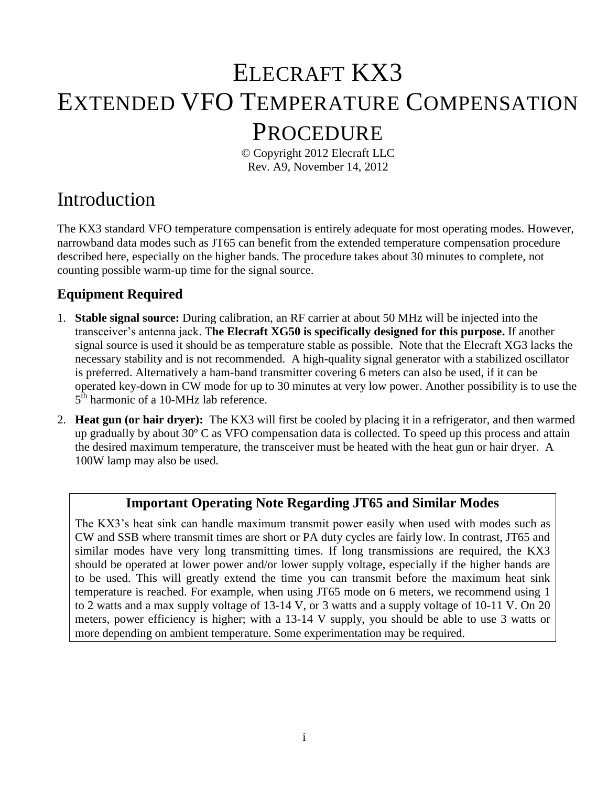# ELECRAFT KX3 EXTENDED VFO TEMPERATURE COMPENSATION PROCEDURE

© Copyright 2012 Elecraft LLC Rev. A9, November 14, 2012

### Introduction

The KX3 standard VFO temperature compensation is entirely adequate for most operating modes. However, narrowband data modes such as JT65 can benefit from the extended temperature compensation procedure described here, especially on the higher bands. The procedure takes about 30 minutes to complete, not counting possible warm-up time for the signal source.

#### **Equipment Required**

- 1. **Stable signal source:** During calibration, an RF carrier at about 50 MHz will be injected into the transceiver's antenna jack. T**he Elecraft XG50 is specifically designed for this purpose.** If another signal source is used it should be as temperature stable as possible. Note that the Elecraft XG3 lacks the necessary stability and is not recommended. A high-quality signal generator with a stabilized oscillator is preferred. Alternatively a ham-band transmitter covering 6 meters can also be used, if it can be operated key-down in CW mode for up to 30 minutes at very low power. Another possibility is to use the  $5^{\text{th}}$  harmonic of a 10-MHz lab reference.
- 2. **Heat gun (or hair dryer):** The KX3 will first be cooled by placing it in a refrigerator, and then warmed up gradually by about 30º C as VFO compensation data is collected. To speed up this process and attain the desired maximum temperature, the transceiver must be heated with the heat gun or hair dryer. A 100W lamp may also be used.

#### **Important Operating Note Regarding JT65 and Similar Modes**

The KX3's heat sink can handle maximum transmit power easily when used with modes such as CW and SSB where transmit times are short or PA duty cycles are fairly low. In contrast, JT65 and similar modes have very long transmitting times. If long transmissions are required, the KX3 should be operated at lower power and/or lower supply voltage, especially if the higher bands are to be used. This will greatly extend the time you can transmit before the maximum heat sink temperature is reached. For example, when using JT65 mode on 6 meters, we recommend using 1 to 2 watts and a max supply voltage of 13-14 V, or 3 watts and a supply voltage of 10-11 V. On 20 meters, power efficiency is higher; with a 13-14 V supply, you should be able to use 3 watts or more depending on ambient temperature. Some experimentation may be required.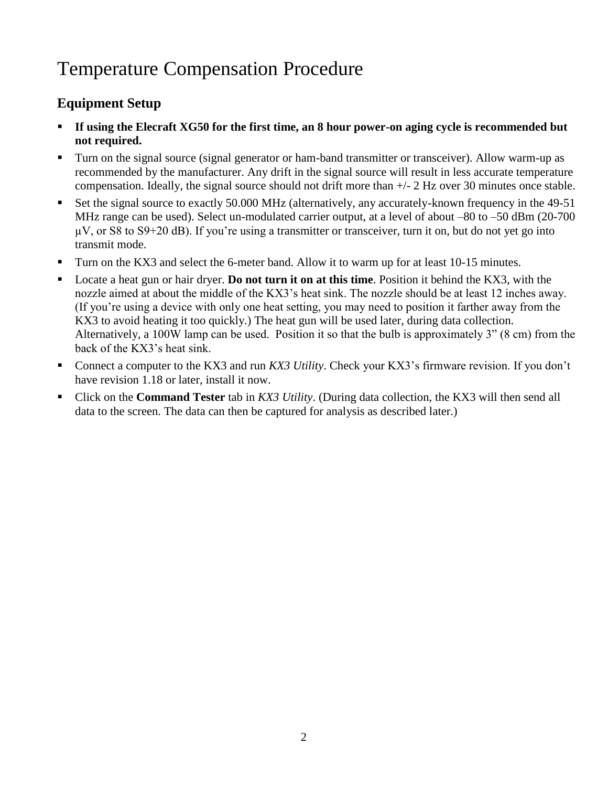## Temperature Compensation Procedure

#### **Equipment Setup**

- **If using the Elecraft XG50 for the first time, an 8 hour power-on aging cycle is recommended but not required.**
- **Turn on the signal source (signal generator or ham-band transmitter or transceiver). Allow warm-up as** recommended by the manufacturer. Any drift in the signal source will result in less accurate temperature compensation. Ideally, the signal source should not drift more than +/- 2 Hz over 30 minutes once stable.
- Set the signal source to exactly 50.000 MHz (alternatively, any accurately-known frequency in the 49-51 MHz range can be used). Select un-modulated carrier output, at a level of about –80 to –50 dBm (20-700) µV, or S8 to S9+20 dB). If you're using a transmitter or transceiver, turn it on, but do not yet go into transmit mode.
- Turn on the KX3 and select the 6-meter band. Allow it to warm up for at least 10-15 minutes.
- Locate a heat gun or hair dryer. **Do not turn it on at this time**. Position it behind the KX3, with the nozzle aimed at about the middle of the KX3's heat sink. The nozzle should be at least 12 inches away. (If you're using a device with only one heat setting, you may need to position it farther away from the KX3 to avoid heating it too quickly.) The heat gun will be used later, during data collection. Alternatively, a 100W lamp can be used. Position it so that the bulb is approximately 3" (8 cm) from the back of the KX3's heat sink.
- Connect a computer to the KX3 and run *KX3 Utility*. Check your KX3's firmware revision. If you don't have revision 1.18 or later, install it now.
- Click on the **Command Tester** tab in *KX3 Utility*. (During data collection, the KX3 will then send all data to the screen. The data can then be captured for analysis as described later.)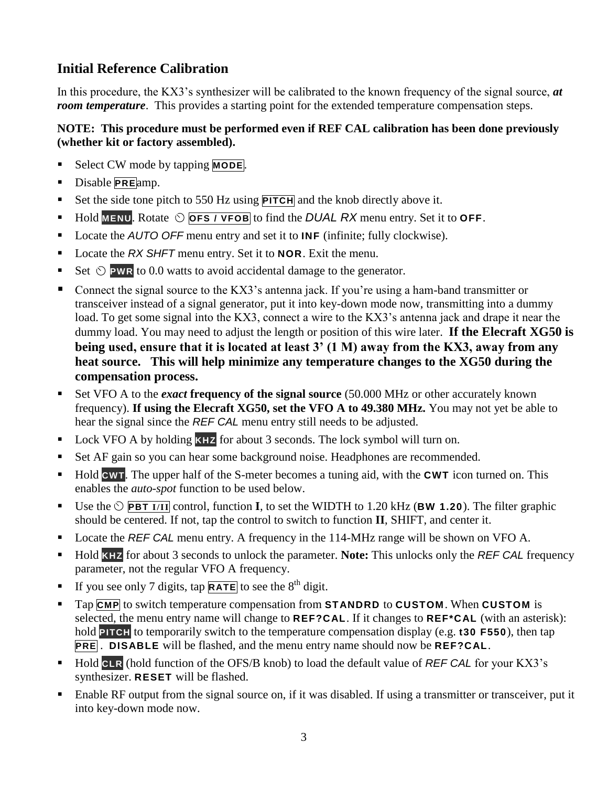#### **Initial Reference Calibration**

In this procedure, the KX3's synthesizer will be calibrated to the known frequency of the signal source, *at room temperature*. This provides a starting point for the extended temperature compensation steps.

#### **NOTE: This procedure must be performed even if REF CAL calibration has been done previously (whether kit or factory assembled).**

- Select CW mode by tapping **MODE**.
- Disable **PRE**amp.
- Set the side tone pitch to 550 Hz using **PITCH** and the knob directly above it.
- $\blacksquare$  Hold **MENU**. Rotate  $\odot$  **OFS** / **VFOB** to find the **DUAL** RX menu entry. Set it to **OFF**.
- Locate the *AUTO OFF* menu entry and set it to **INF** (infinite; fully clockwise).
- Locate the *RX SHFT* menu entry. Set it to **NOR**. Exit the menu.
- Set  $\odot$  **PWR** to 0.0 watts to avoid accidental damage to the generator.
- Connect the signal source to the KX3's antenna jack. If you're using a ham-band transmitter or transceiver instead of a signal generator, put it into key-down mode now, transmitting into a dummy load. To get some signal into the KX3, connect a wire to the KX3's antenna jack and drape it near the dummy load. You may need to adjust the length or position of this wire later. **If the Elecraft XG50 is being used, ensure that it is located at least 3' (1 M) away from the KX3, away from any heat source. This will help minimize any temperature changes to the XG50 during the compensation process.**
- Set VFO A to the *exact* **frequency of the signal source** (50.000 MHz or other accurately known frequency). **If using the Elecraft XG50, set the VFO A to 49.380 MHz.** You may not yet be able to hear the signal since the *REF CAL* menu entry still needs to be adjusted.
- Lock VFO A by holding **KHZ** for about 3 seconds. The lock symbol will turn on.
- Set AF gain so you can hear some background noise. Headphones are recommended.
- Hold **CWT**. The upper half of the S-meter becomes a tuning aid, with the **CWT** icon turned on. This enables the *auto-spot* function to be used below.
- Use the  $\circ$  **PBT I**/III control, function **I**, to set the WIDTH to 1.20 kHz (**BW** 1.20). The filter graphic should be centered. If not, tap the control to switch to function **II**, SHIFT, and center it.
- Locate the *REF CAL* menu entry. A frequency in the 114-MHz range will be shown on VFO A.
- Hold **KHZ** for about 3 seconds to unlock the parameter. **Note:** This unlocks only the *REF CAL* frequency parameter, not the regular VFO A frequency.
- If you see only 7 digits, tap  $\overline{RATE}$  to see the  $8^{th}$  digit.
- Tap **CMP** to switch temperature compensation from **STANDRD** to **CUSTOM**. When **CUSTOM** is selected, the menu entry name will change to **REF?CAL**. If it changes to **REF\*CAL** (with an asterisk): hold **PITCH** to temporarily switch to the temperature compensation display (e.g. **t30 F550**), then tap **PRE** . **DISABLE** will be flashed, and the menu entry name should now be **REF?CAL**.
- Hold CLR (hold function of the OFS/B knob) to load the default value of *REF CAL* for your KX3's synthesizer. **RESET** will be flashed.
- Enable RF output from the signal source on, if it was disabled. If using a transmitter or transceiver, put it into key-down mode now.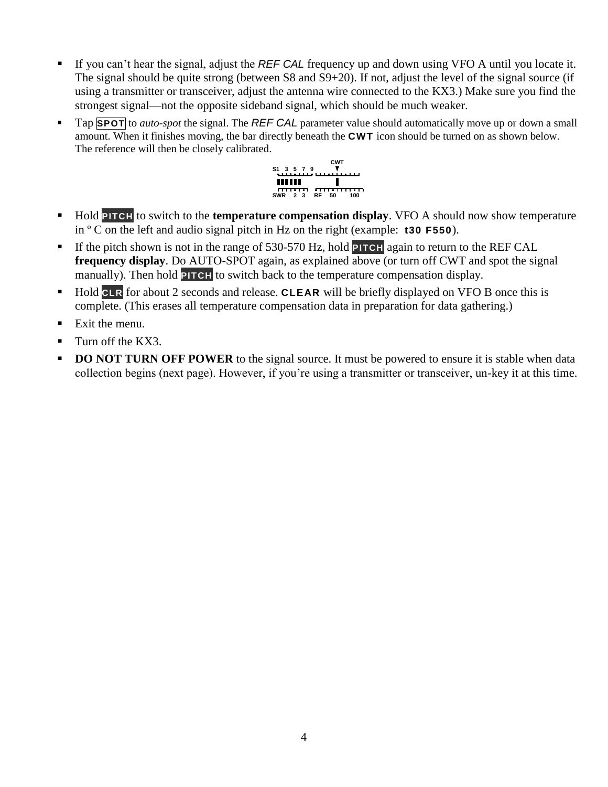- If you can't hear the signal, adjust the *REF CAL* frequency up and down using VFO A until you locate it. The signal should be quite strong (between S8 and S9+20). If not, adjust the level of the signal source (if using a transmitter or transceiver, adjust the antenna wire connected to the KX3.) Make sure you find the strongest signal—not the opposite sideband signal, which should be much weaker.
- Tap **SPOT** to *auto-spot* the signal. The *REF CAL* parameter value should automatically move up or down a small amount. When it finishes moving, the bar directly beneath the **CWT** icon should be turned on as shown below. The reference will then be closely calibrated.



- **Hold PITCH** to switch to the **temperature compensation display**. VFO A should now show temperature in º C on the left and audio signal pitch in Hz on the right (example: **t30 F550**).
- If the pitch shown is not in the range of 530-570 Hz, hold **PITCH** again to return to the REF CAL **frequency display**. Do AUTO-SPOT again, as explained above (or turn off CWT and spot the signal manually). Then hold **PITCH** to switch back to the temperature compensation display.
- Hold CLR for about 2 seconds and release. CLEAR will be briefly displayed on VFO B once this is complete. (This erases all temperature compensation data in preparation for data gathering.)
- $\blacksquare$  Exit the menu.
- Turn off the KX3.
- **DO NOT TURN OFF POWER** to the signal source. It must be powered to ensure it is stable when data collection begins (next page). However, if you're using a transmitter or transceiver, un-key it at this time.